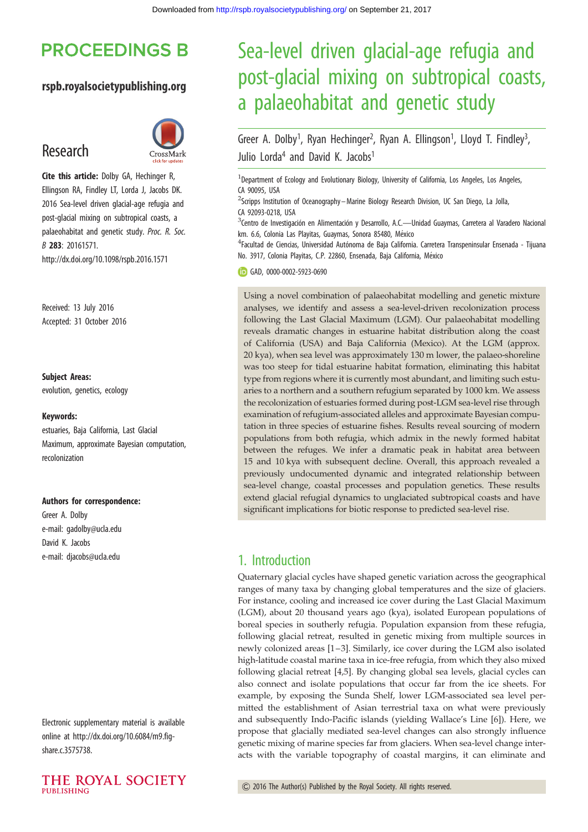## **PROCEEDINGS B**

## rspb.royalsocietypublishing.org

## Research



Cite this article: Dolby GA, Hechinger R, Ellingson RA, Findley LT, Lorda J, Jacobs DK. 2016 Sea-level driven glacial-age refugia and post-glacial mixing on subtropical coasts, a palaeohabitat and genetic study. Proc. R. Soc. B 283: 20161571. http://dx.doi.org/10.1098/rspb.2016.1571

Received: 13 July 2016 Accepted: 31 October 2016

#### Subject Areas:

evolution, genetics, ecology

#### Keywords:

estuaries, Baja California, Last Glacial Maximum, approximate Bayesian computation, recolonization

#### Authors for correspondence:

Greer A. Dolby e-mail: [gadolby@ucla.edu](mailto:gadolby@ucla.edu) David K. Jacobs e-mail: [djacobs@ucla.edu](mailto:djacobs@ucla.edu)

Electronic supplementary material is available online at [http://dx.doi.org/10.6084/m9.fig](http://dx.doi.org/10.6084/m9.figshare.c.3575738)[share.c.3575738.](http://dx.doi.org/10.6084/m9.figshare.c.3575738)



# Sea-level driven glacial-age refugia and post-glacial mixing on subtropical coasts, a palaeohabitat and genetic study

Greer A. Dolby<sup>1</sup>, Ryan Hechinger<sup>2</sup>, Ryan A. Ellingson<sup>1</sup>, Lloyd T. Findley<sup>3</sup> , Julio Lorda<sup>4</sup> and David K. Jacobs<sup>1</sup>

<sup>1</sup>Department of Ecology and Evolutionary Biology, University of California, Los Angeles, Los Angeles, CA 90095, USA

<sup>2</sup>Scripps Institution of Oceanography - Marine Biology Research Division, UC San Diego, La Jolla, CA 92093-0218, USA

<sup>3</sup>Centro de Investigación en Alimentación y Desarrollo, A.C.—Unidad Guaymas, Carretera al Varadero Nacional km. 6.6, Colonia Las Playitas, Guaymas, Sonora 85480, México

<sup>4</sup>Facultad de Ciencias, Universidad Autónoma de Baja California. Carretera Transpeninsular Ensenada - Tijuana No. 3917, Colonia Playitas, C.P. 22860, Ensenada, Baja California, México

GAD, [0000-0002-5923-0690](http://orcid.org/0000-0002-5923-0690)

Using a novel combination of palaeohabitat modelling and genetic mixture analyses, we identify and assess a sea-level-driven recolonization process following the Last Glacial Maximum (LGM). Our palaeohabitat modelling reveals dramatic changes in estuarine habitat distribution along the coast of California (USA) and Baja California (Mexico). At the LGM (approx. 20 kya), when sea level was approximately 130 m lower, the palaeo-shoreline was too steep for tidal estuarine habitat formation, eliminating this habitat type from regions where it is currently most abundant, and limiting such estuaries to a northern and a southern refugium separated by 1000 km. We assess the recolonization of estuaries formed during post-LGM sea-level rise through examination of refugium-associated alleles and approximate Bayesian computation in three species of estuarine fishes. Results reveal sourcing of modern populations from both refugia, which admix in the newly formed habitat between the refuges. We infer a dramatic peak in habitat area between 15 and 10 kya with subsequent decline. Overall, this approach revealed a previously undocumented dynamic and integrated relationship between sea-level change, coastal processes and population genetics. These results extend glacial refugial dynamics to unglaciated subtropical coasts and have significant implications for biotic response to predicted sea-level rise.

## 1. Introduction

Quaternary glacial cycles have shaped genetic variation across the geographical ranges of many taxa by changing global temperatures and the size of glaciers. For instance, cooling and increased ice cover during the Last Glacial Maximum (LGM), about 20 thousand years ago (kya), isolated European populations of boreal species in southerly refugia. Population expansion from these refugia, following glacial retreat, resulted in genetic mixing from multiple sources in newly colonized areas [[1](#page-6-0)–[3\]](#page-6-0). Similarly, ice cover during the LGM also isolated high-latitude coastal marine taxa in ice-free refugia, from which they also mixed following glacial retreat [[4,5\]](#page-6-0). By changing global sea levels, glacial cycles can also connect and isolate populations that occur far from the ice sheets. For example, by exposing the Sunda Shelf, lower LGM-associated sea level permitted the establishment of Asian terrestrial taxa on what were previously and subsequently Indo-Pacific islands (yielding Wallace's Line [\[6\]](#page-6-0)). Here, we propose that glacially mediated sea-level changes can also strongly influence genetic mixing of marine species far from glaciers. When sea-level change interacts with the variable topography of coastal margins, it can eliminate and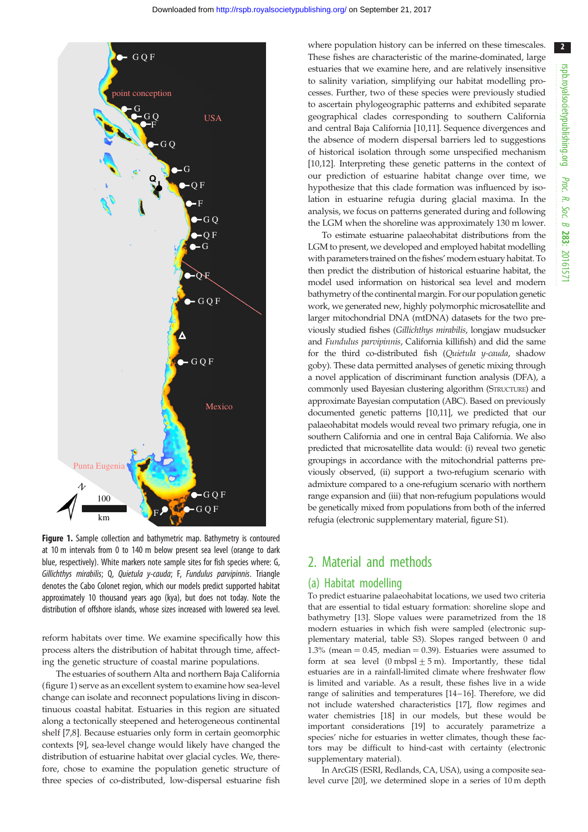<span id="page-1-0"></span>

Figure 1. Sample collection and bathymetric map. Bathymetry is contoured at 10 m intervals from 0 to 140 m below present sea level (orange to dark blue, respectively). White markers note sample sites for fish species where: G, Gillichthys mirabilis; Q, Quietula y-cauda; F, Fundulus parvipinnis. Triangle denotes the Cabo Colonet region, which our models predict supported habitat approximately 10 thousand years ago (kya), but does not today. Note the distribution of offshore islands, whose sizes increased with lowered sea level.

reform habitats over time. We examine specifically how this process alters the distribution of habitat through time, affecting the genetic structure of coastal marine populations.

The estuaries of southern Alta and northern Baja California (figure 1) serve as an excellent system to examine how sea-level change can isolate and reconnect populations living in discontinuous coastal habitat. Estuaries in this region are situated along a tectonically steepened and heterogeneous continental shelf [\[7,8](#page-6-0)]. Because estuaries only form in certain geomorphic contexts [\[9\]](#page-6-0), sea-level change would likely have changed the distribution of estuarine habitat over glacial cycles. We, therefore, chose to examine the population genetic structure of three species of co-distributed, low-dispersal estuarine fish

where population history can be inferred on these timescales. These fishes are characteristic of the marine-dominated, large estuaries that we examine here, and are relatively insensitive to salinity variation, simplifying our habitat modelling processes. Further, two of these species were previously studied to ascertain phylogeographic patterns and exhibited separate geographical clades corresponding to southern California and central Baja California [[10,11](#page-6-0)]. Sequence divergences and the absence of modern dispersal barriers led to suggestions of historical isolation through some unspecified mechanism [[10,12\]](#page-6-0). Interpreting these genetic patterns in the context of our prediction of estuarine habitat change over time, we hypothesize that this clade formation was influenced by isolation in estuarine refugia during glacial maxima. In the analysis, we focus on patterns generated during and following the LGM when the shoreline was approximately 130 m lower.

To estimate estuarine palaeohabitat distributions from the LGM to present, we developed and employed habitat modelling with parameters trained on the fishes' modern estuary habitat. To then predict the distribution of historical estuarine habitat, the model used information on historical sea level and modern bathymetry of the continental margin. For our population genetic work, we generated new, highly polymorphic microsatellite and larger mitochondrial DNA (mtDNA) datasets for the two previously studied fishes (Gillichthys mirabilis, longjaw mudsucker and Fundulus parvipinnis, California killifish) and did the same for the third co-distributed fish (Quietula y-cauda, shadow goby). These data permitted analyses of genetic mixing through a novel application of discriminant function analysis (DFA), a commonly used Bayesian clustering algorithm (STRUCTURE) and approximate Bayesian computation (ABC). Based on previously documented genetic patterns [\[10,11\]](#page-6-0), we predicted that our palaeohabitat models would reveal two primary refugia, one in southern California and one in central Baja California. We also predicted that microsatellite data would: (i) reveal two genetic groupings in accordance with the mitochondrial patterns previously observed, (ii) support a two-refugium scenario with admixture compared to a one-refugium scenario with northern range expansion and (iii) that non-refugium populations would be genetically mixed from populations from both of the inferred refugia (electronic supplementary material, figure S1).

## 2. Material and methods

#### (a) Habitat modelling

To predict estuarine palaeohabitat locations, we used two criteria that are essential to tidal estuary formation: shoreline slope and bathymetry [[13](#page-6-0)]. Slope values were parametrized from the 18 modern estuaries in which fish were sampled (electronic supplementary material, table S3). Slopes ranged between 0 and 1.3% (mean  $= 0.45$ , median  $= 0.39$ ). Estuaries were assumed to form at sea level (0 mbpsl  $\pm$  5 m). Importantly, these tidal estuaries are in a rainfall-limited climate where freshwater flow is limited and variable. As a result, these fishes live in a wide range of salinities and temperatures [\[14](#page-6-0) – [16](#page-6-0)]. Therefore, we did not include watershed characteristics [\[17\]](#page-6-0), flow regimes and water chemistries [\[18\]](#page-6-0) in our models, but these would be important considerations [[19](#page-6-0)] to accurately parametrize a species' niche for estuaries in wetter climates, though these factors may be difficult to hind-cast with certainty (electronic supplementary material).

In ArcGIS (ESRI, Redlands, CA, USA), using a composite sealevel curve [[20](#page-6-0)], we determined slope in a series of 10 m depth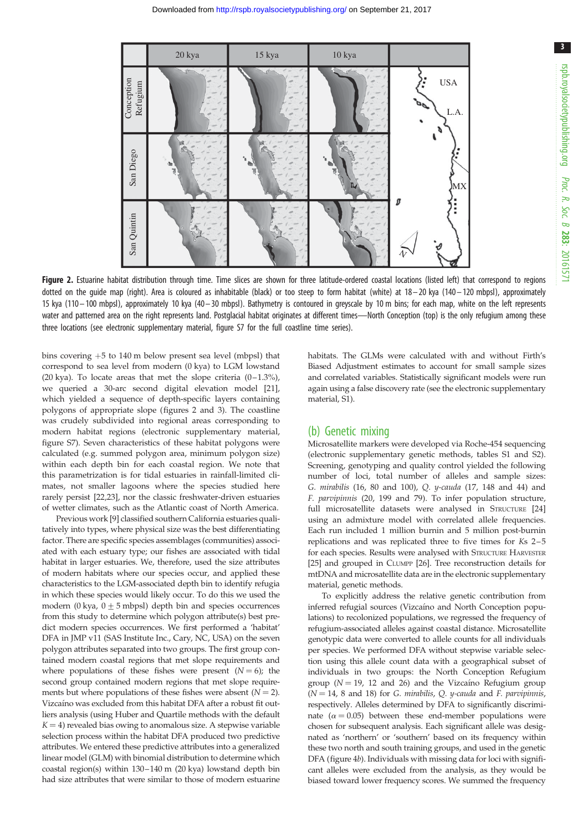<span id="page-2-0"></span>

Figure 2. Estuarine habitat distribution through time. Time slices are shown for three latitude-ordered coastal locations (listed left) that correspond to regions dotted on the quide map (right). Area is coloured as inhabitable (black) or too steep to form habitat (white) at  $18-20$  kya (140-120 mbpsl), approximately 15 kya (110– 100 mbpsl), approximately 10 kya (40– 30 mbpsl). Bathymetry is contoured in greyscale by 10 m bins; for each map, white on the left represents water and patterned area on the right represents land. Postglacial habitat originates at different times—North Conception (top) is the only refugium among these three locations (see electronic supplementary material, figure S7 for the full coastline time series).

bins covering  $+5$  to 140 m below present sea level (mbpsl) that correspond to sea level from modern (0 kya) to LGM lowstand (20 kya). To locate areas that met the slope criteria  $(0-1.3\%)$ , we queried a 30-arc second digital elevation model [\[21\]](#page-6-0), which yielded a sequence of depth-specific layers containing polygons of appropriate slope (figures 2 and [3\)](#page-3-0). The coastline was crudely subdivided into regional areas corresponding to modern habitat regions (electronic supplementary material, figure S7). Seven characteristics of these habitat polygons were calculated (e.g. summed polygon area, minimum polygon size) within each depth bin for each coastal region. We note that this parametrization is for tidal estuaries in rainfall-limited climates, not smaller lagoons where the species studied here rarely persist [[22](#page-6-0)[,23\]](#page-7-0), nor the classic freshwater-driven estuaries of wetter climates, such as the Atlantic coast of North America.

Previous work [[9\]](#page-6-0) classified southern California estuaries qualitatively into types, where physical size was the best differentiating factor. There are specific species assemblages (communities) associated with each estuary type; our fishes are associated with tidal habitat in larger estuaries. We, therefore, used the size attributes of modern habitats where our species occur, and applied these characteristics to the LGM-associated depth bin to identify refugia in which these species would likely occur. To do this we used the modern (0 kya,  $0 \pm 5$  mbpsl) depth bin and species occurrences from this study to determine which polygon attribute(s) best predict modern species occurrences. We first performed a 'habitat' DFA in JMP v11 (SAS Institute Inc., Cary, NC, USA) on the seven polygon attributes separated into two groups. The first group contained modern coastal regions that met slope requirements and where populations of these fishes were present  $(N = 6)$ ; the second group contained modern regions that met slope requirements but where populations of these fishes were absent  $(N = 2)$ . Vizcaíno was excluded from this habitat DFA after a robust fit outliers analysis (using Huber and Quartile methods with the default  $K = 4$ ) revealed bias owing to anomalous size. A stepwise variable selection process within the habitat DFA produced two predictive attributes. We entered these predictive attributes into a generalized linear model (GLM) with binomial distribution to determine which coastal region(s) within 130–140 m (20 kya) lowstand depth bin had size attributes that were similar to those of modern estuarine

habitats. The GLMs were calculated with and without Firth's Biased Adjustment estimates to account for small sample sizes and correlated variables. Statistically significant models were run again using a false discovery rate (see the electronic supplementary material, S1).

#### (b) Genetic mixing

Microsatellite markers were developed via Roche-454 sequencing (electronic supplementary genetic methods, tables S1 and S2). Screening, genotyping and quality control yielded the following number of loci, total number of alleles and sample sizes: G. mirabilis (16, 80 and 100), Q. y-cauda (17, 148 and 44) and F. parvipinnis (20, 199 and 79). To infer population structure, full microsatellite datasets were analysed in STRUCTURE [\[24\]](#page-7-0) using an admixture model with correlated allele frequencies. Each run included 1 million burnin and 5 million post-burnin replications and was replicated three to five times for Ks 2–5 for each species. Results were analysed with STRUCTURE HARVESTER [\[25\]](#page-7-0) and grouped in CLUMPP [\[26](#page-7-0)]. Tree reconstruction details for mtDNA and microsatellite data are in the electronic supplementary material, genetic methods.

To explicitly address the relative genetic contribution from inferred refugial sources (Vizcaíno and North Conception populations) to recolonized populations, we regressed the frequency of refugium-associated alleles against coastal distance. Microsatellite genotypic data were converted to allele counts for all individuals per species. We performed DFA without stepwise variable selection using this allele count data with a geographical subset of individuals in two groups: the North Conception Refugium group ( $N = 19$ , 12 and 26) and the Vizcaíno Refugium group  $(N = 14, 8$  and 18) for G. mirabilis, Q. y-cauda and F. parvipinnis, respectively. Alleles determined by DFA to significantly discriminate ( $\alpha = 0.05$ ) between these end-member populations were chosen for subsequent analysis. Each significant allele was designated as 'northern' or 'southern' based on its frequency within these two north and south training groups, and used in the genetic DFA ([figure 4](#page-5-0)b). Individuals with missing data for loci with significant alleles were excluded from the analysis, as they would be biased toward lower frequency scores. We summed the frequency

3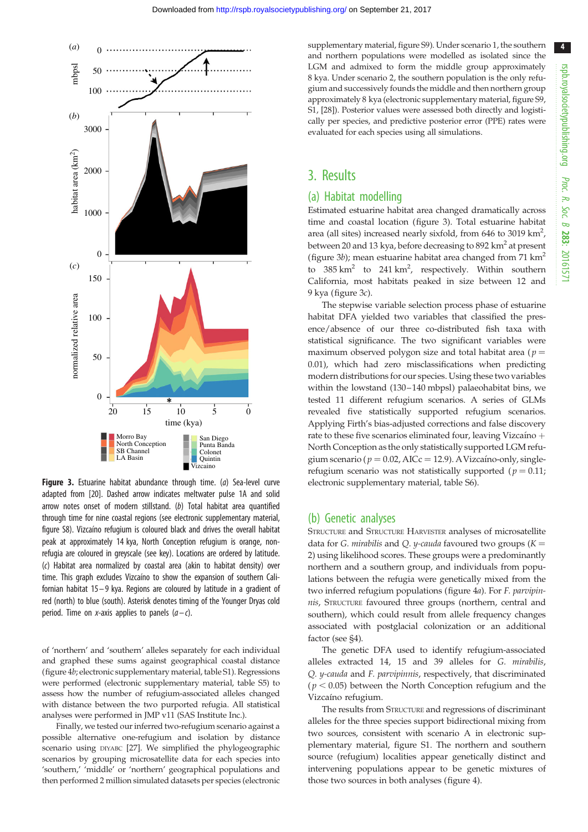<span id="page-3-0"></span>

**Figure 3.** Estuarine habitat abundance through time. (a) Sea-level curve adapted from [\[20\]](#page-6-0). Dashed arrow indicates meltwater pulse 1A and solid arrow notes onset of modern stillstand. (b) Total habitat area quantified through time for nine coastal regions (see electronic supplementary material, figure S8). Vizcaı´no refugium is coloured black and drives the overall habitat peak at approximately 14 kya, North Conception refugium is orange, nonrefugia are coloured in greyscale (see key). Locations are ordered by latitude. (c) Habitat area normalized by coastal area (akin to habitat density) over time. This graph excludes Vizcaíno to show the expansion of southern Californian habitat 15 – 9 kya. Regions are coloured by latitude in a gradient of red (north) to blue (south). Asterisk denotes timing of the Younger Dryas cold period. Time on x-axis applies to panels  $(a-c)$ .

of 'northern' and 'southern' alleles separately for each individual and graphed these sums against geographical coastal distance [\(figure 4](#page-5-0)b; electronic supplementary material, table S1). Regressions were performed (electronic supplementary material, table S5) to assess how the number of refugium-associated alleles changed with distance between the two purported refugia. All statistical analyses were performed in JMP v11 (SAS Institute Inc.).

Finally, we tested our inferred two-refugium scenario against a possible alternative one-refugium and isolation by distance scenario using DIYABC [[27](#page-7-0)]. We simplified the phylogeographic scenarios by grouping microsatellite data for each species into 'southern,' 'middle' or 'northern' geographical populations and then performed 2 million simulated datasets per species (electronic supplementary material, figure S9). Under scenario 1, the southern and northern populations were modelled as isolated since the LGM and admixed to form the middle group approximately 8 kya. Under scenario 2, the southern population is the only refugium and successively founds the middle and then northern group approximately 8 kya (electronic supplementary material, figure S9, S1, [[28](#page-7-0)]). Posterior values were assessed both directly and logistically per species, and predictive posterior error (PPE) rates were evaluated for each species using all simulations.

## 3. Results

## (a) Habitat modelling

Estimated estuarine habitat area changed dramatically across time and coastal location (figure 3). Total estuarine habitat area (all sites) increased nearly sixfold, from 646 to 3019 km<sup>2</sup>, between 20 and 13 kya, before decreasing to 892  $km<sup>2</sup>$  at present (figure 3b); mean estuarine habitat area changed from 71  $\text{km}^2$ to  $385 \text{ km}^2$  to  $241 \text{ km}^2$ , respectively. Within southern California, most habitats peaked in size between 12 and 9 kya (figure 3c).

The stepwise variable selection process phase of estuarine habitat DFA yielded two variables that classified the presence/absence of our three co-distributed fish taxa with statistical significance. The two significant variables were maximum observed polygon size and total habitat area ( $p =$ 0.01), which had zero misclassifications when predicting modern distributions for our species. Using these two variables within the lowstand (130–140 mbpsl) palaeohabitat bins, we tested 11 different refugium scenarios. A series of GLMs revealed five statistically supported refugium scenarios. Applying Firth's bias-adjusted corrections and false discovery rate to these five scenarios eliminated four, leaving Vizcaíno  $+$ North Conception as the only statistically supported LGM refugium scenario ( $p = 0.02$ , AICc = 12.9). A Vizcaíno-only, singlerefugium scenario was not statistically supported ( $p = 0.11$ ; electronic supplementary material, table S6).

#### (b) Genetic analyses

STRUCTURE and STRUCTURE HARVESTER analyses of microsatellite data for G. mirabilis and Q. y-cauda favoured two groups  $(K =$ 2) using likelihood scores. These groups were a predominantly northern and a southern group, and individuals from populations between the refugia were genetically mixed from the two inferred refugium populations [\(figure 4](#page-5-0)a). For F. parvipinnis, STRUCTURE favoured three groups (northern, central and southern), which could result from allele frequency changes associated with postglacial colonization or an additional factor (see §4).

The genetic DFA used to identify refugium-associated alleles extracted 14, 15 and 39 alleles for G. mirabilis, Q. y-cauda and F. parvipinnis, respectively, that discriminated ( $p < 0.05$ ) between the North Conception refugium and the Vizcaíno refugium.

The results from STRUCTURE and regressions of discriminant alleles for the three species support bidirectional mixing from two sources, consistent with scenario A in electronic supplementary material, figure S1. The northern and southern source (refugium) localities appear genetically distinct and intervening populations appear to be genetic mixtures of those two sources in both analyses ([figure 4](#page-5-0)).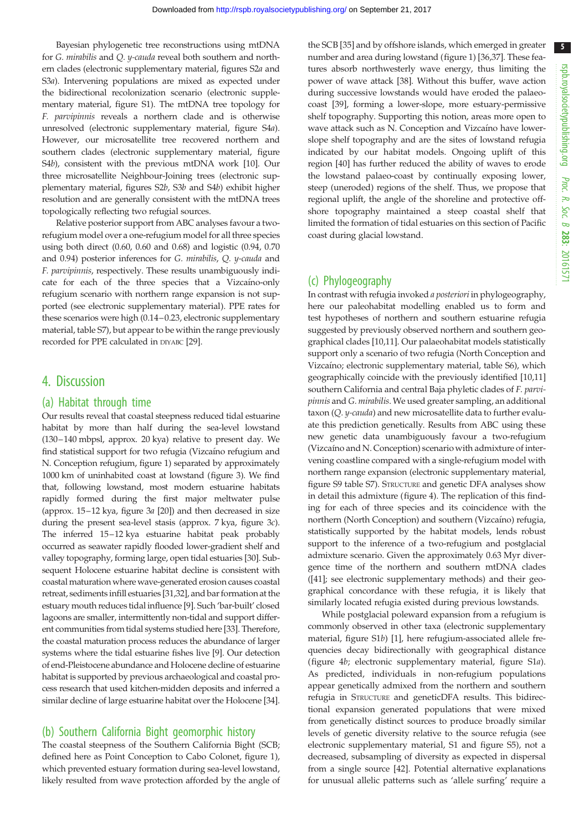Bayesian phylogenetic tree reconstructions using mtDNA for G. mirabilis and Q. y-cauda reveal both southern and northern clades (electronic supplementary material, figures S2a and S3a). Intervening populations are mixed as expected under the bidirectional recolonization scenario (electronic supplementary material, figure S1). The mtDNA tree topology for F. parvipinnis reveals a northern clade and is otherwise unresolved (electronic supplementary material, figure S4a). However, our microsatellite tree recovered northern and southern clades (electronic supplementary material, figure S4b), consistent with the previous mtDNA work [\[10](#page-6-0)]. Our three microsatellite Neighbour-Joining trees (electronic supplementary material, figures S2b, S3b and S4b) exhibit higher resolution and are generally consistent with the mtDNA trees topologically reflecting two refugial sources.

Relative posterior support from ABC analyses favour a tworefugium model over a one-refugium model for all three species using both direct (0.60, 0.60 and 0.68) and logistic (0.94, 0.70 and 0.94) posterior inferences for G. mirabilis, Q. y-cauda and F. parvipinnis, respectively. These results unambiguously indicate for each of the three species that a Vizcaíno-only refugium scenario with northern range expansion is not supported (see electronic supplementary material). PPE rates for these scenarios were high (0.14–0.23, electronic supplementary material, table S7), but appear to be within the range previously recorded for PPE calculated in DIYABC [\[29](#page-7-0)].

## 4. Discussion

### (a) Habitat through time

Our results reveal that coastal steepness reduced tidal estuarine habitat by more than half during the sea-level lowstand (130–140 mbpsl, approx. 20 kya) relative to present day. We find statistical support for two refugia (Vizcaíno refugium and N. Conception refugium, [figure 1\)](#page-1-0) separated by approximately 1000 km of uninhabited coast at lowstand ([figure 3\)](#page-3-0). We find that, following lowstand, most modern estuarine habitats rapidly formed during the first major meltwater pulse (approx. 15–12 kya, [figure 3](#page-3-0)a [\[20\]](#page-6-0)) and then decreased in size during the present sea-level stasis (approx. 7 kya, [figure 3](#page-3-0)c). The inferred 15–12 kya estuarine habitat peak probably occurred as seawater rapidly flooded lower-gradient shelf and valley topography, forming large, open tidal estuaries [\[30](#page-7-0)]. Subsequent Holocene estuarine habitat decline is consistent with coastal maturation where wave-generated erosion causes coastal retreat, sediments infill estuaries [\[31,32\]](#page-7-0), and bar formation at the estuary mouth reduces tidal influence [[9](#page-6-0)]. Such 'bar-built' closed lagoons are smaller, intermittently non-tidal and support different communities from tidal systems studied here [\[33](#page-7-0)]. Therefore, the coastal maturation process reduces the abundance of larger systems where the tidal estuarine fishes live [[9](#page-6-0)]. Our detection of end-Pleistocene abundance and Holocene decline of estuarine habitat is supported by previous archaeological and coastal process research that used kitchen-midden deposits and inferred a similar decline of large estuarine habitat over the Holocene [[34](#page-7-0)].

## (b) Southern California Bight geomorphic history

The coastal steepness of the Southern California Bight (SCB; defined here as Point Conception to Cabo Colonet, [figure 1](#page-1-0)), which prevented estuary formation during sea-level lowstand, likely resulted from wave protection afforded by the angle of the SCB [\[35](#page-7-0)] and by offshore islands, which emerged in greater number and area during lowstand [\(figure 1](#page-1-0)) [[36,37\]](#page-7-0). These features absorb northwesterly wave energy, thus limiting the power of wave attack [[38\]](#page-7-0). Without this buffer, wave action during successive lowstands would have eroded the palaeocoast [\[39](#page-7-0)], forming a lower-slope, more estuary-permissive shelf topography. Supporting this notion, areas more open to wave attack such as N. Conception and Vizcaíno have lowerslope shelf topography and are the sites of lowstand refugia indicated by our habitat models. Ongoing uplift of this region [[40](#page-7-0)] has further reduced the ability of waves to erode the lowstand palaeo-coast by continually exposing lower, steep (uneroded) regions of the shelf. Thus, we propose that regional uplift, the angle of the shoreline and protective offshore topography maintained a steep coastal shelf that limited the formation of tidal estuaries on this section of Pacific coast during glacial lowstand.

## (c) Phylogeography

In contrast with refugia invoked a posteriori in phylogeography, here our paleohabitat modelling enabled us to form and test hypotheses of northern and southern estuarine refugia suggested by previously observed northern and southern geographical clades [\[10,11](#page-6-0)]. Our palaeohabitat models statistically support only a scenario of two refugia (North Conception and Vizcaíno; electronic supplementary material, table S6), which geographically coincide with the previously identified [[10,11\]](#page-6-0) southern California and central Baja phyletic clades of F. parvipinnis and G. mirabilis. We used greater sampling, an additional taxon (Q. y-cauda) and new microsatellite data to further evaluate this prediction genetically. Results from ABC using these new genetic data unambiguously favour a two-refugium (Vizcaíno and N. Conception) scenario with admixture of intervening coastline compared with a single-refugium model with northern range expansion (electronic supplementary material, figure S9 table S7). STRUCTURE and genetic DFA analyses show in detail this admixture [\(figure 4\)](#page-5-0). The replication of this finding for each of three species and its coincidence with the northern (North Conception) and southern (Vizcaíno) refugia, statistically supported by the habitat models, lends robust support to the inference of a two-refugium and postglacial admixture scenario. Given the approximately 0.63 Myr divergence time of the northern and southern mtDNA clades ([[41](#page-7-0)]; see electronic supplementary methods) and their geographical concordance with these refugia, it is likely that similarly located refugia existed during previous lowstands.

While postglacial poleward expansion from a refugium is commonly observed in other taxa (electronic supplementary material, figure S1b) [\[1\]](#page-6-0), here refugium-associated allele frequencies decay bidirectionally with geographical distance ([figure 4](#page-5-0)b; electronic supplementary material, figure S1a). As predicted, individuals in non-refugium populations appear genetically admixed from the northern and southern refugia in STRUCTURE and geneticDFA results. This bidirectional expansion generated populations that were mixed from genetically distinct sources to produce broadly similar levels of genetic diversity relative to the source refugia (see electronic supplementary material, S1 and figure S5), not a decreased, subsampling of diversity as expected in dispersal from a single source [\[42](#page-7-0)]. Potential alternative explanations for unusual allelic patterns such as 'allele surfing' require a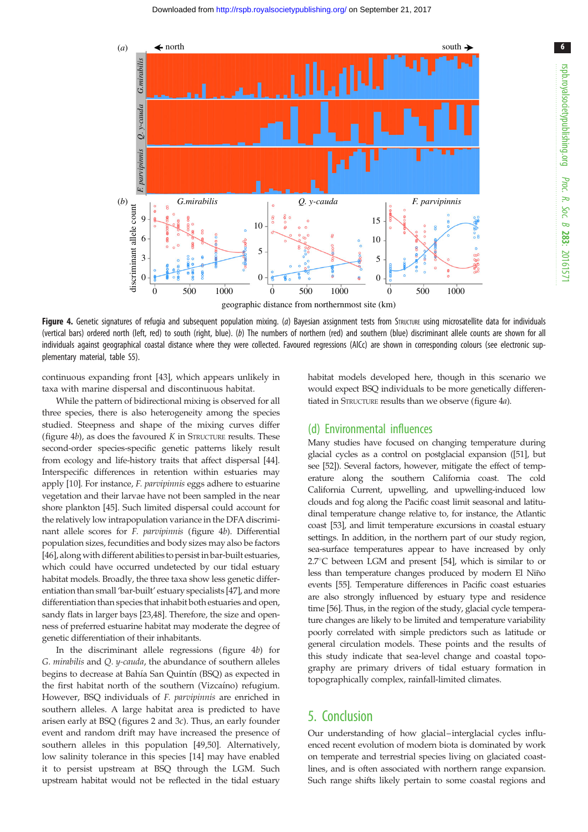<span id="page-5-0"></span>

Figure 4. Genetic signatures of refugia and subsequent population mixing. (a) Bayesian assignment tests from STRUCTURE using microsatellite data for individuals (vertical bars) ordered north (left, red) to south (right, blue). (b) The numbers of northern (red) and southern (blue) discriminant allele counts are shown for all individuals against geographical coastal distance where they were collected. Favoured regressions (AICc) are shown in corresponding colours (see electronic supplementary material, table S5).

continuous expanding front [[43\]](#page-7-0), which appears unlikely in taxa with marine dispersal and discontinuous habitat.

While the pattern of bidirectional mixing is observed for all three species, there is also heterogeneity among the species studied. Steepness and shape of the mixing curves differ (figure  $4b$ ), as does the favoured K in STRUCTURE results. These second-order species-specific genetic patterns likely result from ecology and life-history traits that affect dispersal [[44](#page-7-0)]. Interspecific differences in retention within estuaries may apply [\[10\]](#page-6-0). For instance, F. parvipinnis eggs adhere to estuarine vegetation and their larvae have not been sampled in the near shore plankton [\[45\]](#page-7-0). Such limited dispersal could account for the relatively low intrapopulation variance in the DFA discriminant allele scores for F. parvipinnis (figure 4b). Differential population sizes, fecundities and body sizes may also be factors [\[46](#page-7-0)], along with different abilities to persist in bar-built estuaries, which could have occurred undetected by our tidal estuary habitat models. Broadly, the three taxa show less genetic differentiation than small 'bar-built' estuary specialists [[47](#page-7-0)], and more differentiation than species that inhabit both estuaries and open, sandy flats in larger bays [\[23,48\]](#page-7-0). Therefore, the size and openness of preferred estuarine habitat may moderate the degree of genetic differentiation of their inhabitants.

In the discriminant allele regressions (figure 4b) for G. mirabilis and Q. y-cauda, the abundance of southern alleles begins to decrease at Bahía San Quintín (BSQ) as expected in the first habitat north of the southern (Vizcaíno) refugium. However, BSQ individuals of F. parvipinnis are enriched in southern alleles. A large habitat area is predicted to have arisen early at BSQ (figures [2](#page-2-0) and [3](#page-3-0)c). Thus, an early founder event and random drift may have increased the presence of southern alleles in this population [[49,50\]](#page-7-0). Alternatively, low salinity tolerance in this species [[14\]](#page-6-0) may have enabled it to persist upstream at BSQ through the LGM. Such upstream habitat would not be reflected in the tidal estuary

habitat models developed here, though in this scenario we would expect BSQ individuals to be more genetically differentiated in STRUCTURE results than we observe (figure 4a).

#### (d) Environmental influences

Many studies have focused on changing temperature during glacial cycles as a control on postglacial expansion ([\[51](#page-7-0)], but see [\[52](#page-7-0)]). Several factors, however, mitigate the effect of temperature along the southern California coast. The cold California Current, upwelling, and upwelling-induced low clouds and fog along the Pacific coast limit seasonal and latitudinal temperature change relative to, for instance, the Atlantic coast [\[53\]](#page-7-0), and limit temperature excursions in coastal estuary settings. In addition, in the northern part of our study region, sea-surface temperatures appear to have increased by only  $2.7^{\circ}$ C between LGM and present [\[54\]](#page-7-0), which is similar to or less than temperature changes produced by modern El Niño events [[55](#page-7-0)]. Temperature differences in Pacific coast estuaries are also strongly influenced by estuary type and residence time [[56](#page-7-0)]. Thus, in the region of the study, glacial cycle temperature changes are likely to be limited and temperature variability poorly correlated with simple predictors such as latitude or general circulation models. These points and the results of this study indicate that sea-level change and coastal topography are primary drivers of tidal estuary formation in topographically complex, rainfall-limited climates.

## 5. Conclusion

Our understanding of how glacial–interglacial cycles influenced recent evolution of modern biota is dominated by work on temperate and terrestrial species living on glaciated coastlines, and is often associated with northern range expansion. Such range shifts likely pertain to some coastal regions and 6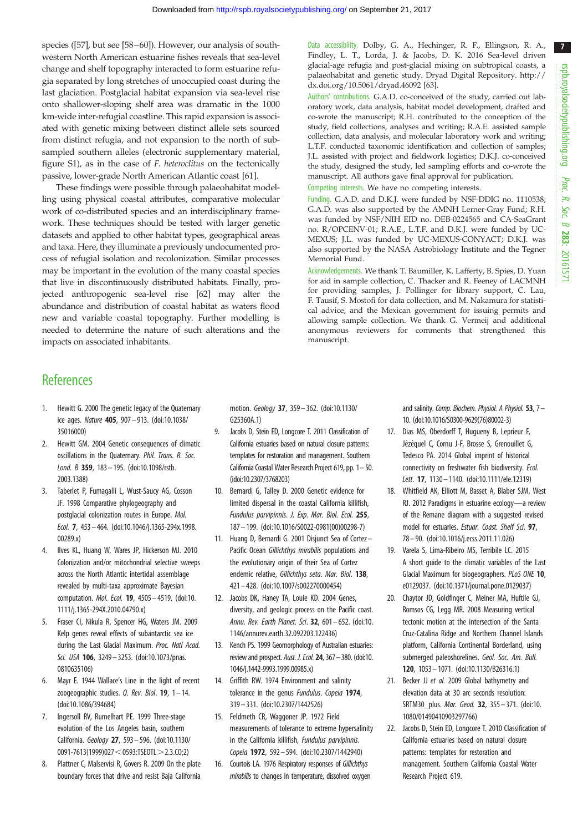7

<span id="page-6-0"></span>species ([[57](#page-7-0)], but see [\[58](#page-7-0)–[60](#page-7-0)]). However, our analysis of southwestern North American estuarine fishes reveals that sea-level change and shelf topography interacted to form estuarine refugia separated by long stretches of unoccupied coast during the last glaciation. Postglacial habitat expansion via sea-level rise onto shallower-sloping shelf area was dramatic in the 1000 km-wide inter-refugial coastline. This rapid expansion is associated with genetic mixing between distinct allele sets sourced from distinct refugia, and not expansion to the north of subsampled southern alleles (electronic supplementary material, figure S1), as in the case of F. heteroclitus on the tectonically passive, lower-grade North American Atlantic coast [\[61\]](#page-7-0).

These findings were possible through palaeohabitat modelling using physical coastal attributes, comparative molecular work of co-distributed species and an interdisciplinary framework. These techniques should be tested with larger genetic datasets and applied to other habitat types, geographical areas and taxa. Here, they illuminate a previously undocumented process of refugial isolation and recolonization. Similar processes may be important in the evolution of the many coastal species that live in discontinuously distributed habitats. Finally, projected anthropogenic sea-level rise [[62](#page-7-0)] may alter the abundance and distribution of coastal habitat as waters flood new and variable coastal topography. Further modelling is needed to determine the nature of such alterations and the impacts on associated inhabitants.

Data accessibility. Dolby, G. A., Hechinger, R. F., Ellingson, R. A., Findley, L. T., Lorda, J. & Jacobs, D. K. 2016 Sea-level driven glacial-age refugia and post-glacial mixing on subtropical coasts, a palaeohabitat and genetic study. Dryad Digital Repository. [http://](http://dx.doi.org/10.5061/dryad.46092) [dx.doi.org/10.5061/dryad.46092](http://dx.doi.org/10.5061/dryad.46092) [[63](#page-7-0)].

Authors' contributions. G.A.D. co-conceived of the study, carried out laboratory work, data analysis, habitat model development, drafted and co-wrote the manuscript; R.H. contributed to the conception of the study, field collections, analyses and writing; R.A.E. assisted sample collection, data analysis, and molecular laboratory work and writing; L.T.F. conducted taxonomic identification and collection of samples; J.L. assisted with project and fieldwork logistics; D.K.J. co-conceived the study, designed the study, led sampling efforts and co-wrote the manuscript. All authors gave final approval for publication.

Competing interests. We have no competing interests.

Funding. G.A.D. and D.K.J. were funded by NSF-DDIG no. 1110538; G.A.D. was also supported by the AMNH Lerner-Gray Fund; R.H. was funded by NSF/NIH EID no. DEB-0224565 and CA-SeaGrant no. R/OPCENV-01; R.A.E., L.T.F. and D.K.J. were funded by UC-MEXUS; J.L. was funded by UC-MEXUS-CONYACT; D.K.J. was also supported by the NASA Astrobiology Institute and the Tegner Memorial Fund.

Acknowledgements. We thank T. Baumiller, K. Lafferty, B. Spies, D. Yuan for aid in sample collection, C. Thacker and R. Feeney of LACMNH for providing samples, J. Pollinger for library support, C. Lau, F. Tausif, S. Mostofi for data collection, and M. Nakamura for statistical advice, and the Mexican government for issuing permits and allowing sample collection. We thank G. Vermeij and additional anonymous reviewers for comments that strengthened this manuscript.

## **References**

- 1. Hewitt G. 2000 The genetic legacy of the Quaternary ice ages. Nature 405, 907 – 913. ([doi:10.1038/](http://dx.doi.org/10.1038/35016000) [35016000](http://dx.doi.org/10.1038/35016000))
- 2. Hewitt GM. 2004 Genetic consequences of climatic oscillations in the Quaternary. Phil. Trans. R. Soc. Lond. B 359, 183-195. ([doi:10.1098/rstb.](http://dx.doi.org/10.1098/rstb.2003.1388) [2003.1388\)](http://dx.doi.org/10.1098/rstb.2003.1388)
- 3. Taberlet P, Fumagalli L, Wust-Saucy AG, Cosson JF. 1998 Comparative phylogeography and postglacial colonization routes in Europe. Mol. Ecol. 7, 453 – 464. [\(doi:10.1046/j.1365-294x.1998.](http://dx.doi.org/10.1046/j.1365-294x.1998.00289.x) [00289.x\)](http://dx.doi.org/10.1046/j.1365-294x.1998.00289.x)
- 4. Ilves KL, Huang W, Wares JP, Hickerson MJ. 2010 Colonization and/or mitochondrial selective sweeps across the North Atlantic intertidal assemblage revealed by multi-taxa approximate Bayesian computation. Mol. Ecol. 19, 4505– 4519. ([doi:10.](http://dx.doi.org/10.1111/j.1365-294X.2010.04790.x) [1111/j.1365-294X.2010.04790.x](http://dx.doi.org/10.1111/j.1365-294X.2010.04790.x))
- 5. Fraser CI, Nikula R, Spencer HG, Waters JM. 2009 Kelp genes reveal effects of subantarctic sea ice during the Last Glacial Maximum. Proc. Natl Acad. Sci. USA 106, 3249 - 3253. ([doi:10.1073/pnas.](http://dx.doi.org/10.1073/pnas.0810635106) [0810635106\)](http://dx.doi.org/10.1073/pnas.0810635106)
- 6. Mayr E. 1944 Wallace's Line in the light of recent zoogeographic studies. Q. Rev. Biol.  $19$ ,  $1 - 14$ . [\(doi:10.1086/394684](http://dx.doi.org/10.1086/394684))
- 7. Ingersoll RV, Rumelhart PE. 1999 Three-stage evolution of the Los Angeles basin, southern California. Geology 27, 593– 596. [\(doi:10.1130/](http://dx.doi.org/10.1130/0091-7613(1999)027%3C0593:TSEOTL%3E2.3.CO;2) [0091-7613\(1999\)027](http://dx.doi.org/10.1130/0091-7613(1999)027%3C0593:TSEOTL%3E2.3.CO;2) < 0593:TSEOTL > 2[.](http://dx.doi.org/10.1130/0091-7613(1999)027%3C0593:TSEOTL%3E2.3.CO;2)3.CO;2)
- 8. Plattner C, Malservisi R, Govers R. 2009 On the plate boundary forces that drive and resist Baja California

motion. Geology 37, 359 – 362. [\(doi:10.1130/](http://dx.doi.org/10.1130/G25360A.1) [G25360A.1](http://dx.doi.org/10.1130/G25360A.1))

- 9. Jacobs D, Stein ED, Longcore T. 2011 Classification of California estuaries based on natural closure patterns: templates for restoration and management. Southern California Coastal Water Research Project 619, pp. 1–50. (idoi:10.2307/3768203)
- 10. Bernardi G, Talley D. 2000 Genetic evidence for limited dispersal in the coastal California killifish, Fundulus parvipinnis. J. Exp. Mar. Biol. Ecol. 255, 187 – 199. [\(doi:10.1016/S0022-0981\(00\)00298-7](http://dx.doi.org/10.1016/S0022-0981(00)00298-7))
- 11. Huang D, Bernardi G. 2001 Disjunct Sea of Cortez– Pacific Ocean Gillichthys mirabilis populations and the evolutionary origin of their Sea of Cortez endemic relative, Gillichthys seta. Mar. Biol. 138, 421 – 428. [\(doi:10.1007/s002270000454](http://dx.doi.org/10.1007/s002270000454))
- 12. Jacobs DK, Haney TA, Louie KD. 2004 Genes, diversity, and geologic process on the Pacific coast. Annu. Rev. Earth Planet. Sci. 32, 601– 652. [\(doi:10.](http://dx.doi.org/10.1146/annurev.earth.32.092203.122436) [1146/annurev.earth.32.092203.122436](http://dx.doi.org/10.1146/annurev.earth.32.092203.122436))
- 13. Kench PS. 1999 Geomorphology of Australian estuaries: review and prospect. Aust. J. Ecol. 24, 367–380. [\(doi:10.](http://dx.doi.org/10.1046/j.1442-9993.1999.00985.x) [1046/j.1442-9993.1999.00985.x](http://dx.doi.org/10.1046/j.1442-9993.1999.00985.x))
- 14. Griffith RW. 1974 Environment and salinity tolerance in the genus Fundulus. Copeia 1974, 319 – 331. [\(doi:10.2307/1442526\)](http://dx.doi.org/10.2307/1442526)
- 15. Feldmeth CR, Waggoner JP. 1972 Field measurements of tolerance to extreme hypersalinity in the California killifish, Fundulus parvipinnis. Copeia 1972, 592– 594. ([doi:10.2307/1442940\)](http://dx.doi.org/10.2307/1442940)
- 16. Courtois LA. 1976 Respiratory responses of Gillichthys mirabilis to changes in temperature, dissolved oxygen

and salinity. Comp. Biochem. Physiol. A Physiol.  $53$ ,  $7-$ 10. [\(doi:10.1016/S0300-9629\(76\)80002-3\)](http://dx.doi.org/10.1016/S0300-9629(76)80002-3)

- 17. Dias MS, Oberdorff T, Hugueny B, Leprieur F, Jézéquel C, Cornu J-F, Brosse S, Grenouillet G, Tedesco PA. 2014 Global imprint of historical connectivity on freshwater fish biodiversity. Ecol. Lett. 17, 1130– 1140. ([doi:10.1111/ele.12319](http://dx.doi.org/10.1111/ele.12319))
- 18. Whitfield AK, Elliott M, Basset A, Blaber SJM, West RJ. 2012 Paradigms in estuarine ecology—a review of the Remane diagram with a suggested revised model for estuaries. Estuar. Coast. Shelf Sci. 97, 78– 90. [\(doi:10.1016/j.ecss.2011.11.026\)](http://dx.doi.org/10.1016/j.ecss.2011.11.026)
- 19. Varela S, Lima-Ribeiro MS, Terribile LC. 2015 A short guide to the climatic variables of the Last Glacial Maximum for biogeographers. PLoS ONE 10, e0129037. [\(doi:10.1371/journal.pone.0129037\)](http://dx.doi.org/10.1371/journal.pone.0129037)
- 20. Chaytor JD, Goldfinger C, Meiner MA, Huftile GJ, Romsos CG, Legg MR. 2008 Measuring vertical tectonic motion at the intersection of the Santa Cruz-Catalina Ridge and Northern Channel Islands platform, California Continental Borderland, using submerged paleoshorelines. Geol. Soc. Am. Bull. 120, 1053– 1071. ([doi:10.1130/B26316.1](http://dx.doi.org/10.1130/B26316.1))
- 21. Becker JJ et al. 2009 Global bathymetry and elevation data at 30 arc seconds resolution: SRTM30 plus. Mar. Geod. 32, 355–371. ([doi:10.](http://dx.doi.org/10.1080/01490410903297766) [1080/01490410903297766](http://dx.doi.org/10.1080/01490410903297766))
- 22. Jacobs D, Stein ED, Longcore T. 2010 Classification of California estuaries based on natural closure patterns: templates for restoration and management. Southern California Coastal Water Research Project 619.